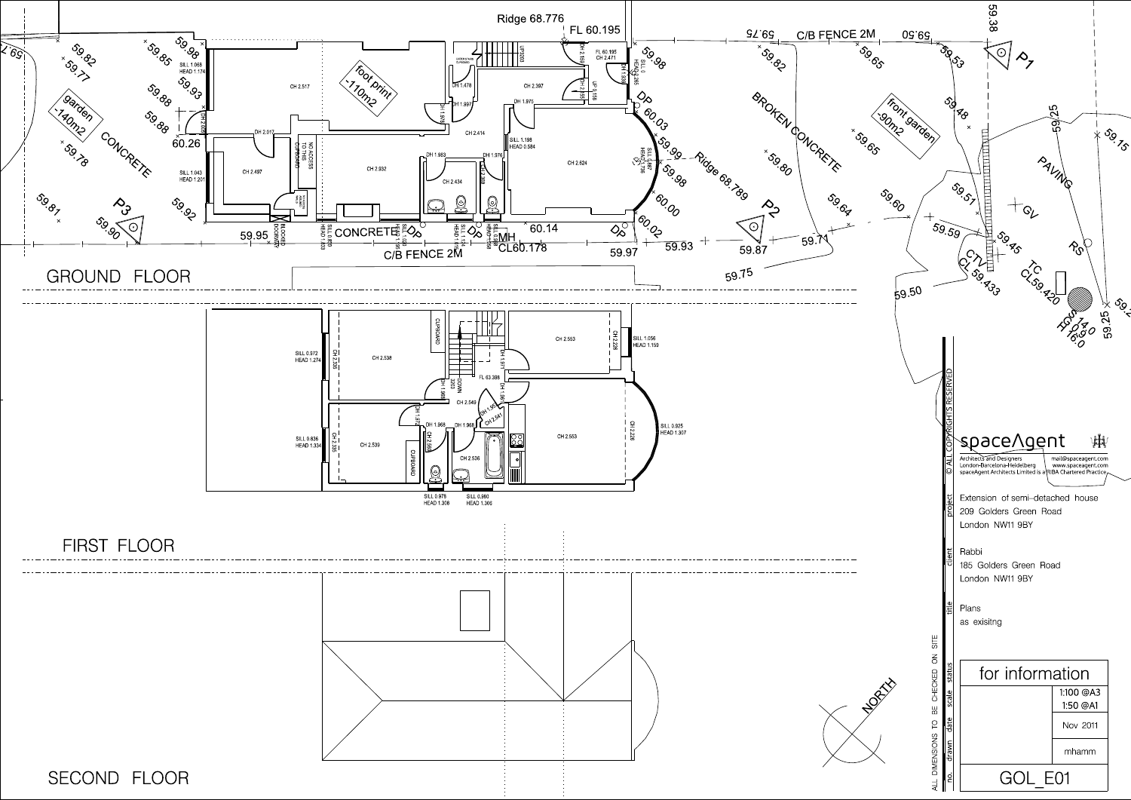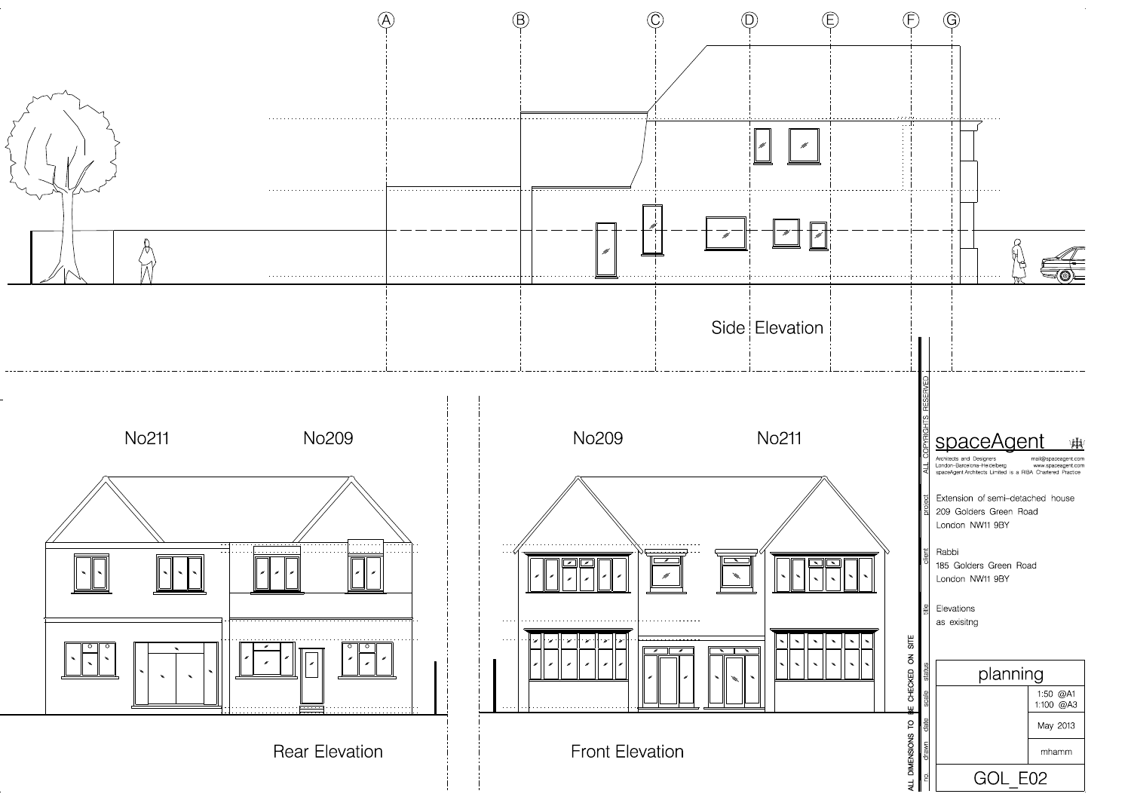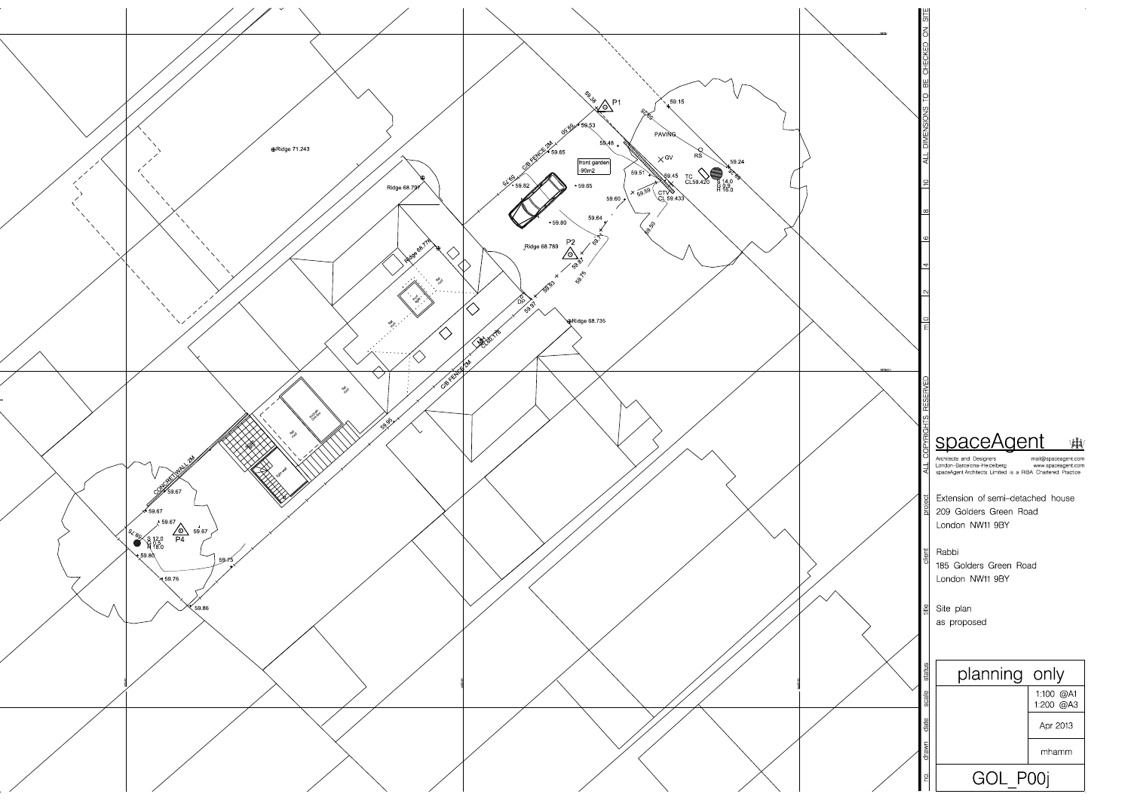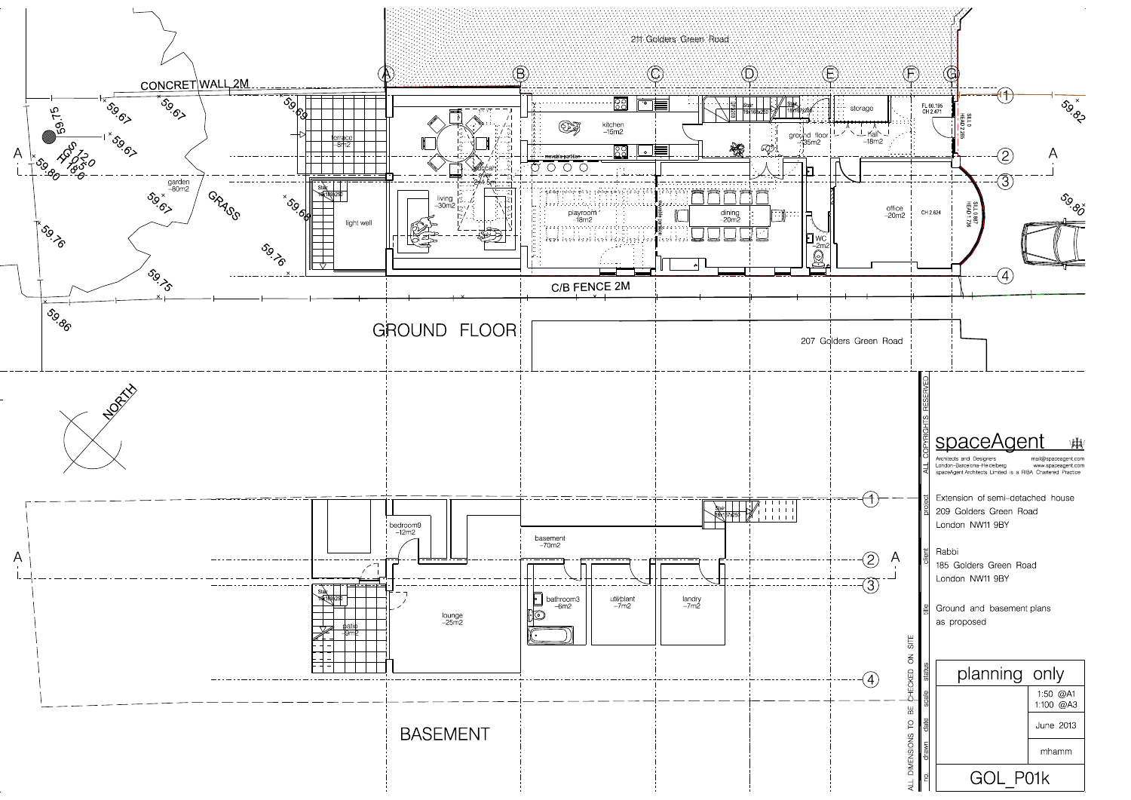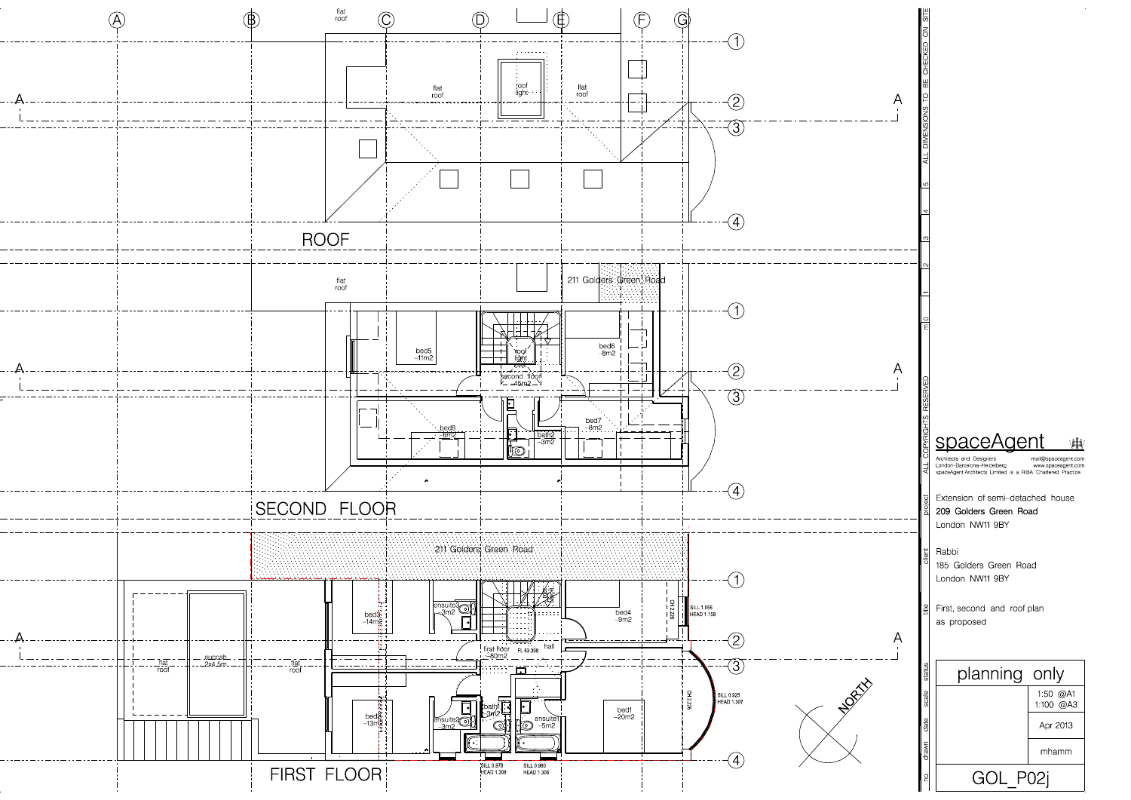